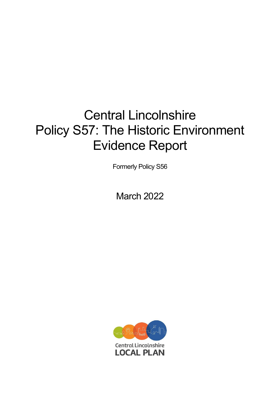# Central Lincolnshire Policy S57: The Historic Environment Evidence Report

Formerly Policy S56

March 2022

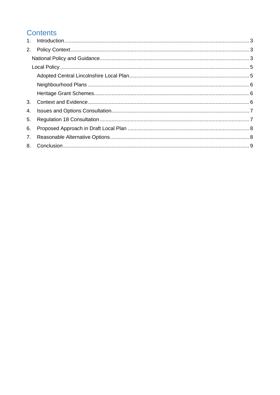## **Contents**

| $1_{\cdot}$    |  |
|----------------|--|
| 2.             |  |
|                |  |
|                |  |
|                |  |
|                |  |
|                |  |
| 3 <sub>1</sub> |  |
| 4.             |  |
| 5.             |  |
| 6.             |  |
| 7.             |  |
|                |  |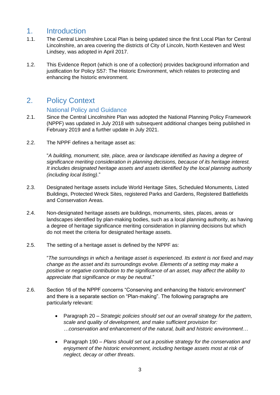## <span id="page-2-0"></span>1. Introduction

- 1.1. The Central Lincolnshire Local Plan is being updated since the first Local Plan for Central Lincolnshire, an area covering the districts of City of Lincoln, North Kesteven and West Lindsey, was adopted in April 2017.
- 1.2. This Evidence Report (which is one of a collection) provides background information and justification for Policy S57: The Historic Environment, which relates to protecting and enhancing the historic environment.

## <span id="page-2-1"></span>2. Policy Context

#### National Policy and Guidance

- <span id="page-2-2"></span>2.1. Since the Central Lincolnshire Plan was adopted the National Planning Policy Framework (NPPF) was updated in July 2018 with subsequent additional changes being published in February 2019 and a further update in July 2021.
- 2.2. The NPPF defines a heritage asset as:

"*A building, monument, site, place, area or landscape identified as having a degree of significance meriting consideration in planning decisions, because of its heritage interest. It includes designated heritage assets and assets identified by the local planning authority (including local listing)*."

- 2.3. Designated heritage assets include World Heritage Sites, Scheduled Monuments, Listed Buildings, Protected Wreck Sites, registered Parks and Gardens, Registered Battlefields and Conservation Areas.
- 2.4. Non-designated heritage assets are buildings, monuments, sites, places, areas or landscapes identified by plan-making bodies, such as a local planning authority, as having a degree of heritage significance meriting consideration in planning decisions but which do not meet the criteria for designated heritage assets.
- 2.5. The setting of a heritage asset is defined by the NPPF as:

"*The surroundings in which a heritage asset is experienced. Its extent is not fixed and may change as the asset and its surroundings evolve. Elements of a setting may make a positive or negative contribution to the significance of an asset, may affect the ability to appreciate that significance or may be neutral*."

- 2.6. Section 16 of the NPPF concerns "Conserving and enhancing the historic environment" and there is a separate section on "Plan-making". The following paragraphs are particularly relevant:
	- Paragraph 20 *Strategic policies should set out an overall strategy for the pattern, scale and quality of development, and make sufficient provision for: …conservation and enhancement of the natural, built and historic environment…*
	- Paragraph 190 *Plans should set out a positive strategy for the conservation and enjoyment of the historic environment, including heritage assets most at risk of neglect, decay or other threats*.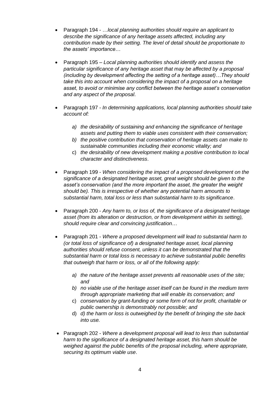- Paragraph 194 …*local planning authorities should require an applicant to describe the significance of any heritage assets affected, including any contribution made by their setting. The level of detail should be proportionate to the assets' importance*…
- Paragraph 195 *Local planning authorities should identify and assess the particular significance of any heritage asset that may be affected by a proposal (including by development affecting the setting of a heritage asset)…They should take this into account when considering the impact of a proposal on a heritage asset, to avoid or minimise any conflict between the heritage asset's conservation and any aspect of the proposal*.
- Paragraph 197 *In determining applications, local planning authorities should take account of:*
	- *a) the desirability of sustaining and enhancing the significance of heritage assets and putting them to viable uses consistent with their conservation;*
	- *b) the positive contribution that conservation of heritage assets can make to sustainable communities including their economic vitality; and*
	- c) *the desirability of new development making a positive contribution to local character and distinctiveness*.
- Paragraph 199 *When considering the impact of a proposed development on the significance of a designated heritage asset, great weight should be given to the asset's conservation (and the more important the asset, the greater the weight should be). This is irrespective of whether any potential harm amounts to substantial harm, total loss or less than substantial harm to its significance*.
- Paragraph 200 *Any harm to, or loss of, the significance of a designated heritage asset (from its alteration or destruction, or from development within its setting), should require clear and convincing justification*…
- Paragraph 201 *Where a proposed development will lead to substantial harm to (or total loss of significance of) a designated heritage asset, local planning authorities should refuse consent, unless it can be demonstrated that the substantial harm or total loss is necessary to achieve substantial public benefits that outweigh that harm or loss, or all of the following apply:* 
	- *a) the nature of the heritage asset prevents all reasonable uses of the site; and*
	- *b) no viable use of the heritage asset itself can be found in the medium term through appropriate marketing that will enable its conservation; and*
	- c) *conservation by grant-funding or some form of not for profit, charitable or public ownership is demonstrably not possible; and*
	- d) *d) the harm or loss is outweighed by the benefit of bringing the site back into use.*
- Paragraph 202 *Where a development proposal will lead to less than substantial harm to the significance of a designated heritage asset, this harm should be weighed against the public benefits of the proposal including, where appropriate, securing its optimum viable use*.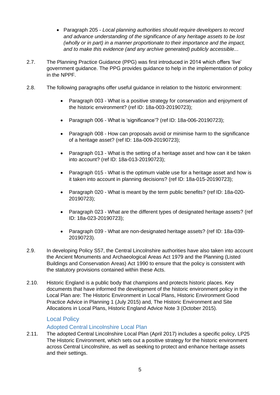- Paragraph 205 *Local planning authorities should require developers to record and advance understanding of the significance of any heritage assets to be lost (wholly or in part) in a manner proportionate to their importance and the impact, and to make this evidence (and any archive generated) publicly accessible..*.
- 2.7. The Planning Practice Guidance (PPG) was first introduced in 2014 which offers 'live' government guidance. The PPG provides guidance to help in the implementation of policy in the NPPF.
- 2.8. The following paragraphs offer useful guidance in relation to the historic environment:
	- Paragraph 003 What is a positive strategy for conservation and enjoyment of the historic environment? (ref ID: 18a-003-20190723);
	- Paragraph 006 What is 'significance'? (ref ID: 18a-006-20190723);
	- Paragraph 008 How can proposals avoid or minimise harm to the significance of a heritage asset? (ref ID: 18a-009-20190723);
	- Paragraph 013 What is the setting of a heritage asset and how can it be taken into account? (ref ID: 18a-013-20190723);
	- Paragraph 015 What is the optimum viable use for a heritage asset and how is it taken into account in planning decisions? (ref ID: 18a-015-20190723);
	- Paragraph 020 What is meant by the term public benefits? (ref ID: 18a-020- 20190723);
	- Paragraph 023 What are the different types of designated heritage assets? (ref ID: 18a-023-20190723);
	- Paragraph 039 What are non-designated heritage assets? (ref ID: 18a-039- 20190723).
- 2.9. In developing Policy S57, the Central Lincolnshire authorities have also taken into account the Ancient Monuments and Archaeological Areas Act 1979 and the Planning (Listed Buildings and Conservation Areas) Act 1990 to ensure that the policy is consistent with the statutory provisions contained within these Acts.
- 2.10. Historic England is a public body that champions and protects historic places. Key documents that have informed the development of the historic environment policy in the Local Plan are: The Historic Environment in Local Plans, Historic Environment Good Practice Advice in Planning 1 (July 2015) and, The Historic Environment and Site Allocations in Local Plans, Historic England Advice Note 3 (October 2015).

#### Local Policy

#### Adopted Central Lincolnshire Local Plan

<span id="page-4-1"></span><span id="page-4-0"></span>2.11. The adopted Central Lincolnshire Local Plan (April 2017) includes a specific policy, LP25 The Historic Environment, which sets out a positive strategy for the historic environment across Central Lincolnshire, as well as seeking to protect and enhance heritage assets and their settings.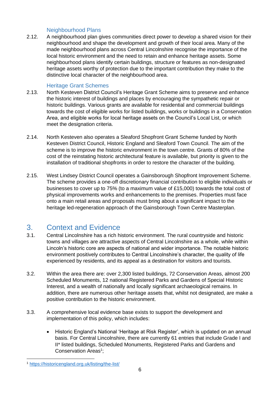#### Neighbourhood Plans

<span id="page-5-0"></span>2.12. A neighbourhood plan gives communities direct power to develop a shared vision for their neighbourhood and shape the development and growth of their local area. Many of the made neighbourhood plans across Central Lincolnshire recognise the importance of the local historic environment and the need to retain and enhance heritage assets. Some neighbourhood plans identify certain buildings, structure or features as non-designated heritage assets worthy of protection due to the important contribution they make to the distinctive local character of the neighbourhood area.

#### Heritage Grant Schemes

- <span id="page-5-1"></span>2.13. North Kesteven District Council's Heritage Grant Scheme aims to preserve and enhance the historic interest of buildings and places by encouraging the sympathetic repair or historic buildings. Various grants are available for residential and commercial buildings towards the cost of eligible works for listed buildings, works or buildings in a Conservation Area, and eligible works for local heritage assets on the Council's Local List, or which meet the designation criteria.
- 2.14. North Kesteven also operates a Sleaford Shopfront Grant Scheme funded by North Kesteven District Council, Historic England and Sleaford Town Council. The aim of the scheme is to improve the historic environment in the town centre. Grants of 80% of the cost of the reinstating historic architectural feature is available, but priority is given to the installation of traditional shopfronts in order to restore the character of the building.
- 2.15. West Lindsey District Council operates a Gainsborough Shopfront Improvement Scheme. The scheme provides a one-off discretionary financial contribution to eligible individuals or businesses to cover up to 75% (to a maximum value of £15,000) towards the total cost of physical improvements works and enhancements to the premises. Properties must face onto a main retail areas and proposals must bring about a significant impact to the heritage led-regeneration approach of the Gainsborough Town Centre Masterplan.

### <span id="page-5-2"></span>3. Context and Evidence

- 3.1. Central Lincolnshire has a rich historic environment. The rural countryside and historic towns and villages are attractive aspects of Central Lincolnshire as a whole, while within Lincoln's historic core are aspects of national and wider importance. The notable historic environment positively contributes to Central Lincolnshire's character, the quality of life experienced by residents, and its appeal as a destination for visitors and tourists.
- 3.2. Within the area there are: over 2,300 listed buildings, 72 Conservation Areas, almost 200 Scheduled Monuments, 12 national Registered Parks and Gardens of Special Historic Interest, and a wealth of nationally and locally significant archaeological remains. In addition, there are numerous other heritage assets that, whilst not designated, are make a positive contribution to the historic environment.
- 3.3. A comprehensive local evidence base exists to support the development and implementation of this policy, which includes:
	- Historic England's National 'Heritage at Risk Register', which is updated on an annual basis. For Central Lincolnshire, there are currently 61 entries that include Grade I and II\* listed buildings, Scheduled Monuments, Registered Parks and Gardens and Conservation Areas<sup>1</sup>;

<sup>1</sup> <https://historicengland.org.uk/listing/the-list/>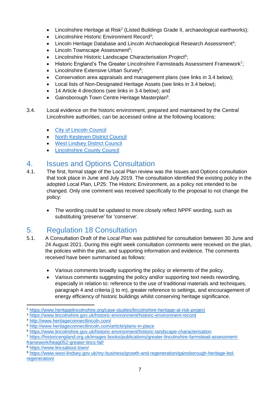- $\bullet$  Lincolnshire Heritage at Risk<sup>2</sup> (Listed Buildings Grade II, archaeological earthworks);
- Lincolnshire Historic Environment Record<sup>3</sup>;
- Lincoln Heritage Database and Lincoln Archaeological Research Assessment<sup>4</sup>;
- Lincoln Townscape Assessment<sup>5</sup>;
- Lincolnshire Historic Landscape Characterisation Project<sup>6</sup>;
- Historic England's The Greater Lincolnshire Farmsteads Assessment Framework<sup>7</sup>;
- Lincolnshire Extensive Urban Survey<sup>8</sup>;
- Conservation area appraisals and management plans (see links in 3.4 below);
- Local lists of Non-Designated Heritage Assets (see links in 3.4 below);
- 14 Article 4 directions (see links in 3.4 below); and
- Gainsborough Town Centre Heritage Masterplan<sup>9</sup>.
- 3.4. Local evidence on the historic environment, prepared and maintained by the Central Lincolnshire authorities, can be accessed online at the following locations:
	- [City of Lincoln Council](https://www.lincoln.gov.uk/planning/conservation-archaeology-heritage)
	- [North Kesteven District Council](https://www.n-kesteven.gov.uk/residents/planning-and-building/planning/conservation-and-heritage/)
	- **[West Lindsey District Council](https://www.west-lindsey.gov.uk/my-services/planning-and-building/conservation-and-environment/)**
	- **[Lincolnshire County](https://www.lincolnshire.gov.uk/historic-environment) Council**

## <span id="page-6-0"></span>4. Issues and Options Consultation

- 4.1. The first, formal stage of the Local Plan review was the Issues and Options consultation that took place in June and July 2019. The consultation identified the existing policy in the adopted Local Plan, LP25: The Historic Environment, as a policy not intended to be changed. Only one comment was received specifically to the proposal to not change the policy:
	- The wording could be updated to more closely reflect NPPF wording, such as substituting 'preserve' for 'conserve'.

# <span id="page-6-1"></span>5. Regulation 18 Consultation

- 5.1. A Consultation Draft of the Local Plan was published for consultation between 30 June and 24 August 2021. During this eight week consultation comments were received on the plan, the policies within the plan, and supporting information and evidence. The comments received have been summarised as follows:
	- Various comments broadly supporting the policy or elements of the policy.
	- Various comments suggesting the policy and/or supporting text needs rewording, especially in relation to: reference to the use of traditional materials and techniques, paragraph 4 and criteria j) to m), greater reference to settings, and encouragement of energy efficiency of historic buildings whilst conserving heritage significance.

<sup>2</sup> <https://www.heritagelincolnshire.org/case-studies/lincolnshire-heritage-at-risk-project>

<sup>3</sup> <https://www.lincolnshire.gov.uk/historic-environment/historic-environment-record>

<sup>4</sup> <http://www.heritageconnectlincoln.com/>

<sup>5</sup> <http://www.heritageconnectlincoln.com/article/plans-in-place>

<sup>6</sup> <https://www.lincolnshire.gov.uk/historic-environment/historic-landscape-characterisation>

<sup>7</sup> [https://historicengland.org.uk/images-books/publications/greater-lincolnshire-farmstead-assessment](https://historicengland.org.uk/images-books/publications/greater-lincolnshire-farmstead-assessment-framework/heag052-greater-lincs-faf/)[framework/heag052-greater-lincs-faf/](https://historicengland.org.uk/images-books/publications/greater-lincolnshire-farmstead-assessment-framework/heag052-greater-lincs-faf/)

<sup>8</sup> <https://www.lincsabout.town/>

<sup>9</sup> [https://www.west-lindsey.gov.uk/my-business/growth-and-regeneration/gainsborough-heritage-led](https://www.west-lindsey.gov.uk/my-business/growth-and-regeneration/gainsborough-heritage-led-regeneration/)[regeneration/](https://www.west-lindsey.gov.uk/my-business/growth-and-regeneration/gainsborough-heritage-led-regeneration/)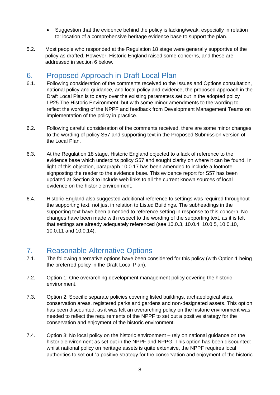- Suggestion that the evidence behind the policy is lacking/weak, especially in relation to: location of a comprehensive heritage evidence base to support the plan.
- 5.2. Most people who responded at the Regulation 18 stage were generally supportive of the policy as drafted. However, Historic England raised some concerns, and these are addressed in section 6 below.

## <span id="page-7-0"></span>6. Proposed Approach in Draft Local Plan

- 6.1. Following consideration of the comments received to the Issues and Options consultation, national policy and guidance, and local policy and evidence, the proposed approach in the Draft Local Plan is to carry over the existing parameters set out in the adopted policy LP25 The Historic Environment, but with some minor amendments to the wording to reflect the wording of the NPPF and feedback from Development Management Teams on implementation of the policy in practice.
- 6.2. Following careful consideration of the comments received, there are some minor changes to the wording of policy S57 and supporting text in the Proposed Submission version of the Local Plan.
- 6.3. At the Regulation 18 stage, Historic England objected to a lack of reference to the evidence base which underpins policy S57 and sought clarity on where it can be found. In light of this objection, paragraph 10.0.17 has been amended to include a footnote signposting the reader to the evidence base. This evidence report for S57 has been updated at Section 3 to include web links to all the current known sources of local evidence on the historic environment.
- 6.4. Historic England also suggested additional reference to settings was required throughout the supporting text, not just in relation to Listed Buildings. The subheadings in the supporting text have been amended to reference setting in response to this concern. No changes have been made with respect to the wording of the supporting text, as it is felt that settings are already adequately referenced (see 10.0.3, 10.0.4, 10.0.5, 10.0.10, 10.0.11 and 10.0.14).

## <span id="page-7-1"></span>7. Reasonable Alternative Options

- 7.1. The following alternative options have been considered for this policy (with Option 1 being the preferred policy in the Draft Local Plan).
- 7.2. Option 1: One overarching development management policy covering the historic environment.
- 7.3. Option 2: Specific separate policies covering listed buildings, archaeological sites, conservation areas, registered parks and gardens and non-designated assets. This option has been discounted, as it was felt an overarching policy on the historic environment was needed to reflect the requirements of the NPPF to set out a positive strategy for the conservation and enjoyment of the historic environment.
- 7.4. Option 3: No local policy on the historic environment rely on national guidance on the historic environment as set out in the NPPF and NPPG. This option has been discounted: whilst national policy on heritage assets is quite extensive, the NPPF requires local authorities to set out "a positive strategy for the conservation and enjoyment of the historic